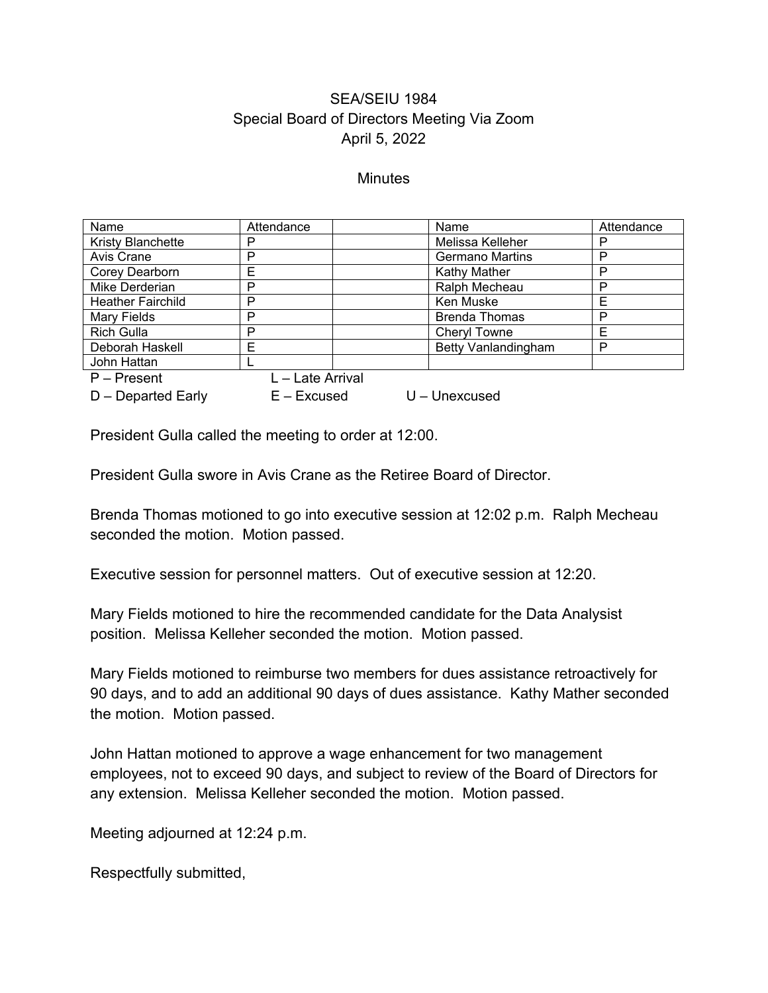## SEA/SEIU 1984 Special Board of Directors Meeting Via Zoom April 5, 2022

## **Minutes**

| Name                     | Attendance       | Name                       | Attendance |
|--------------------------|------------------|----------------------------|------------|
| <b>Kristy Blanchette</b> | P                | Melissa Kelleher           | P          |
| Avis Crane               | P                | <b>Germano Martins</b>     | P          |
| Corey Dearborn           | Е                | <b>Kathy Mather</b>        | P          |
| Mike Derderian           | P                | Ralph Mecheau              | P          |
| <b>Heather Fairchild</b> | P                | Ken Muske                  | Е          |
| Mary Fields              | P                | <b>Brenda Thomas</b>       | P          |
| <b>Rich Gulla</b>        | P                | <b>Cheryl Towne</b>        | Е          |
| Deborah Haskell          | Е                | <b>Betty Vanlandingham</b> | P          |
| John Hattan              |                  |                            |            |
| $P -$ Present            | L - Late Arrival |                            |            |
| $D$ – Departed Early     | $E - Excused$    | $U$ – Unexcused            |            |

President Gulla called the meeting to order at 12:00.

President Gulla swore in Avis Crane as the Retiree Board of Director.

Brenda Thomas motioned to go into executive session at 12:02 p.m. Ralph Mecheau seconded the motion. Motion passed.

Executive session for personnel matters. Out of executive session at 12:20.

Mary Fields motioned to hire the recommended candidate for the Data Analysist position. Melissa Kelleher seconded the motion. Motion passed.

Mary Fields motioned to reimburse two members for dues assistance retroactively for 90 days, and to add an additional 90 days of dues assistance. Kathy Mather seconded the motion. Motion passed.

John Hattan motioned to approve a wage enhancement for two management employees, not to exceed 90 days, and subject to review of the Board of Directors for any extension. Melissa Kelleher seconded the motion. Motion passed.

Meeting adjourned at 12:24 p.m.

Respectfully submitted,